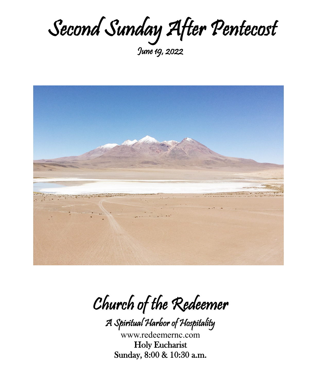Second Sunday After Pentecost

June 19, 2022



Church of the Redeemer

A Spiritual Harbor of Hospitality

www.redeemernc.com Holy Eucharist Sunday, 8:00 & 10:30 a.m.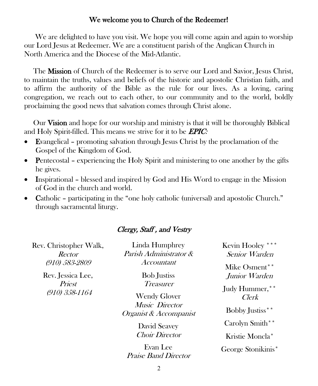#### We welcome you to Church of the Redeemer!

We are delighted to have you visit. We hope you will come again and again to worship our Lord Jesus at Redeemer. We are a constituent parish of the Anglican Church in North America and the Diocese of the Mid-Atlantic.

The Mission of Church of the Redeemer is to serve our Lord and Savior, Jesus Christ, to maintain the truths, values and beliefs of the historic and apostolic Christian faith, and to affirm the authority of the Bible as the rule for our lives. As a loving, caring congregation, we reach out to each other, to our community and to the world, boldly proclaiming the good news that salvation comes through Christ alone.

Our Vision and hope for our worship and ministry is that it will be thoroughly Biblical and Holy Spirit-filled. This means we strive for it to be **EPIC**:

- Evangelical promoting salvation through Jesus Christ by the proclamation of the Gospel of the Kingdom of God.
- Pentecostal experiencing the Holy Spirit and ministering to one another by the gifts he gives.
- Inspirational blessed and inspired by God and His Word to engage in the Mission of God in the church and world.
- Catholic participating in the "one holy catholic (universal) and apostolic Church." through sacramental liturgy.

# Clergy, Staff , and Vestry

Rev. Christopher Walk, Rector (910) 583-2809

> Rev. Jessica Lee, Priest (910) 358-1164

Linda Humphrey Parish Administrator & Accountant

> Bob Justiss Treasurer

Wendy Glover Music Director Organist & Accompanist

> David Seavey Choir Director

Evan Lee Praise Band Director Kevin Hooley \*\*\* Senior Warden Mike Osment\*\* Junior Warden Judy Hummer,\*\* Clerk Bobby Justiss\*\*

Carolyn Smith\*\*

Kristie Moncla\*

George Stonikinis\*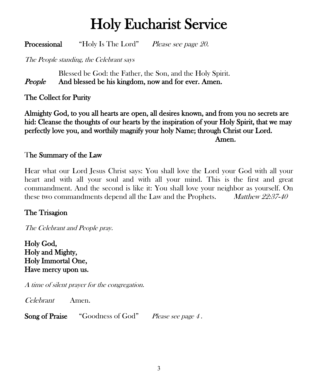# Holy Eucharist Service

**Processional** "Holy Is The Lord" Please see page 20.

The People standing, the Celebrant says

Blessed be God: the Father, the Son, and the Holy Spirit. People And blessed be his kingdom, now and for ever. Amen.

The Collect for Purity

Almighty God, to you all hearts are open, all desires known, and from you no secrets are hid: Cleanse the thoughts of our hearts by the inspiration of your Holy Spirit, that we may perfectly love you, and worthily magnify your holy Name; through Christ our Lord. Amen.

## The Summary of the Law

Hear what our Lord Jesus Christ says: You shall love the Lord your God with all your heart and with all your soul and with all your mind. This is the first and great commandment. And the second is like it: You shall love your neighbor as yourself. On these two commandments depend all the Law and the Prophets. *Matthew 22:37-40* 

## The Trisagion

The Celebrant and People pray.

Holy God, Holy and Mighty, Holy Immortal One, Have mercy upon us.

A time of silent prayer for the congregation.

Celebrant Amen.

Song of Praise "Goodness of God" Please see page 4.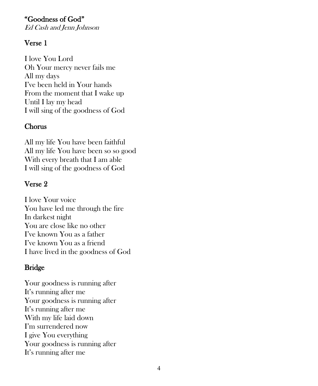#### "Goodness of God"

Ed Cash and Jenn Johnson

## Verse 1

I love You Lord Oh Your mercy never fails me All my days I've been held in Your hands From the moment that I wake up Until I lay my head I will sing of the goodness of God

## Chorus

All my life You have been faithful All my life You have been so so good With every breath that I am able I will sing of the goodness of God

# Verse 2

I love Your voice You have led me through the fire In darkest night You are close like no other I've known You as a father I've known You as a friend I have lived in the goodness of God

# Bridge

Your goodness is running after It's running after me Your goodness is running after It's running after me With my life laid down I'm surrendered now I give You everything Your goodness is running after It's running after me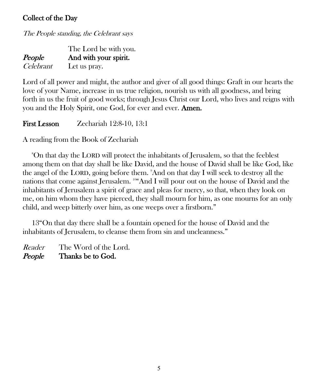# Collect of the Day

The People standing, the Celebrant says

The Lord be with you. People And with your spirit. Celebrant Let us pray.

Lord of all power and might, the author and giver of all good things: Graft in our hearts the love of your Name, increase in us true religion, nourish us with all goodness, and bring forth in us the fruit of good works; through Jesus Christ our Lord, who lives and reigns with you and the Holy Spirit, one God, for ever and ever. Amen.

First Lesson Zechariah 12:8-10, 13:1

A reading from the Book of Zechariah

<sup>8</sup>On that day the LORD will protect the inhabitants of Jerusalem, so that the feeblest among them on that day shall be like David, and the house of David shall be like God, like the angel of the LORD, going before them. <sup>9</sup>And on that day I will seek to destroy all the nations that come against Jerusalem. <sup>10"</sup>And I will pour out on the house of David and the inhabitants of Jerusalem a spirit of grace and pleas for mercy, so that, when they look on me, on him whom they have pierced, they shall mourn for him, as one mourns for an only child, and weep bitterly over him, as one weeps over a firstborn."

 13"On that day there shall be a fountain opened for the house of David and the inhabitants of Jerusalem, to cleanse them from sin and uncleanness."

Reader The Word of the Lord. People Thanks be to God.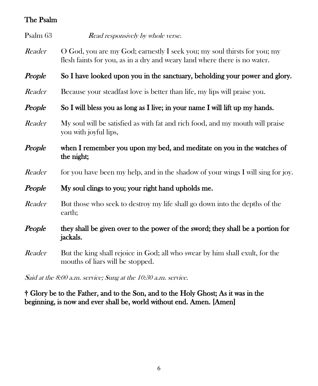## The Psalm

| Psalm 63 | Read responsively by whole verse.                                                                                                                     |  |
|----------|-------------------------------------------------------------------------------------------------------------------------------------------------------|--|
| Reader   | O God, you are my God; earnestly I seek you; my soul thirsts for you; my<br>flesh faints for you, as in a dry and weary land where there is no water. |  |
| People   | So I have looked upon you in the sanctuary, beholding your power and glory.                                                                           |  |
| Reader   | Because your steadfast love is better than life, my lips will praise you.                                                                             |  |
| People   | So I will bless you as long as I live; in your name I will lift up my hands.                                                                          |  |
| Reader   | My soul will be satisfied as with fat and rich food, and my mouth will praise<br>you with joyful lips,                                                |  |
| People   | when I remember you upon my bed, and meditate on you in the watches of<br>the night;                                                                  |  |
| Reader   | for you have been my help, and in the shadow of your wings I will sing for joy.                                                                       |  |
| People   | My soul clings to you; your right hand upholds me.                                                                                                    |  |
| Reader   | But those who seek to destroy my life shall go down into the depths of the<br>earth;                                                                  |  |
| People   | they shall be given over to the power of the sword; they shall be a portion for<br>jackals.                                                           |  |
| Reader   | But the king shall rejoice in God; all who swear by him shall exult, for the<br>mouths of liars will be stopped.                                      |  |

Said at the 8:00 a.m. service; Sung at the 10:30 a.m. service.

#### † Glory be to the Father, and to the Son, and to the Holy Ghost; As it was in the beginning, is now and ever shall be, world without end. Amen. [Amen]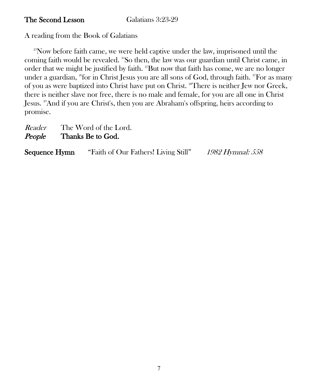#### The Second Lesson Galatians 3:23-29

A reading from the Book of Galatians

<sup>23</sup>Now before faith came, we were held captive under the law, imprisoned until the coming faith would be revealed. <sup>24</sup>So then, the law was our guardian until Christ came, in order that we might be justified by faith. <sup>25</sup>But now that faith has come, we are no longer under a guardian,  $^{26}$  for in Christ Jesus you are all sons of God, through faith.  $^{27}$  For as many of you as were baptized into Christ have put on Christ. <sup>28</sup>There is neither Jew nor Greek, there is neither slave nor free, there is no male and female, for you are all one in Christ Jesus. <sup>29</sup>And if you are Christ's, then you are Abraham's offspring, heirs according to promise.

Reader The Word of the Lord. People Thanks Be to God.

Sequence Hymn "Faith of Our Fathers! Living Still" 1982 Hymnal: 558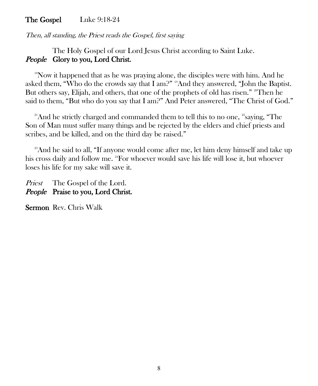#### The Gospel Luke 9:18-24

Then, all standing, the Priest reads the Gospel, first saying

#### The Holy Gospel of our Lord Jesus Christ according to Saint Luke. People Glory to you, Lord Christ.

 $18$ Now it happened that as he was praying alone, the disciples were with him. And he asked them, "Who do the crowds say that I am?" <sup>19</sup>And they answered, "John the Baptist. But others say, Elijah, and others, that one of the prophets of old has risen." <sup>20</sup>Then he said to them, "But who do you say that I am?" And Peter answered, "The Christ of God."

<sup>21</sup>And he strictly charged and commanded them to tell this to no one,  $^{2}$ saying, "The Son of Man must suffer many things and be rejected by the elders and chief priests and scribes, and be killed, and on the third day be raised."

<sup>23</sup>And he said to all, "If anyone would come after me, let him deny himself and take up his cross daily and follow me. <sup>24</sup>For whoever would save his life will lose it, but whoever loses his life for my sake will save it.

Priest The Gospel of the Lord. People Praise to you, Lord Christ.

Sermon Rev. Chris Walk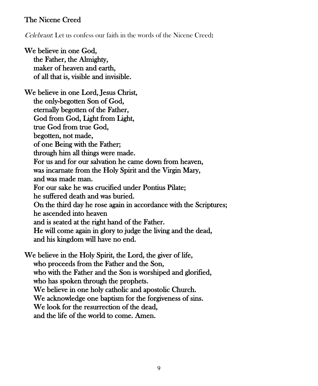## The Nicene Creed

Celebrant: Let us confess our faith in the words of the Nicene Creed:

We believe in one God, the Father, the Almighty, maker of heaven and earth, of all that is, visible and invisible. We believe in one Lord, Jesus Christ, the only-begotten Son of God, eternally begotten of the Father, God from God, Light from Light, true God from true God, begotten, not made, of one Being with the Father; through him all things were made. For us and for our salvation he came down from heaven, was incarnate from the Holy Spirit and the Virgin Mary, and was made man. For our sake he was crucified under Pontius Pilate; he suffered death and was buried. On the third day he rose again in accordance with the Scriptures; he ascended into heaven and is seated at the right hand of the Father. He will come again in glory to judge the living and the dead, and his kingdom will have no end. We believe in the Holy Spirit, the Lord, the giver of life, who proceeds from the Father and the Son, who with the Father and the Son is worshiped and glorified,

who has spoken through the prophets.

We believe in one holy catholic and apostolic Church.

We acknowledge one baptism for the forgiveness of sins.

We look for the resurrection of the dead,

and the life of the world to come. Amen.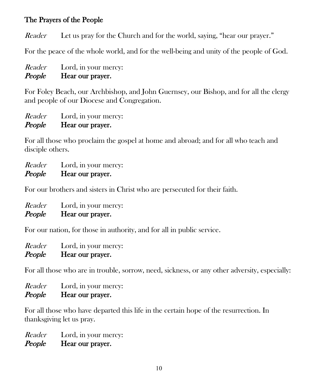#### The Prayers of the People

Reader Let us pray for the Church and for the world, saying, "hear our prayer."

For the peace of the whole world, and for the well-being and unity of the people of God.

| Reader | Lord, in your mercy: |
|--------|----------------------|
| People | Hear our prayer.     |

For Foley Beach, our Archbishop, and John Guernsey, our Bishop, and for all the clergy and people of our Diocese and Congregation.

Reader Lord, in your mercy: People Hear our prayer.

For all those who proclaim the gospel at home and abroad; and for all who teach and disciple others.

Reader Lord, in your mercy: People Hear our prayer.

For our brothers and sisters in Christ who are persecuted for their faith.

Reader Lord, in your mercy: People Hear our prayer.

For our nation, for those in authority, and for all in public service.

Reader Lord, in your mercy: People Hear our prayer.

For all those who are in trouble, sorrow, need, sickness, or any other adversity, especially:

Reader Lord, in your mercy: People Hear our prayer.

For all those who have departed this life in the certain hope of the resurrection. In thanksgiving let us pray.

Reader Lord, in your mercy: People Hear our prayer.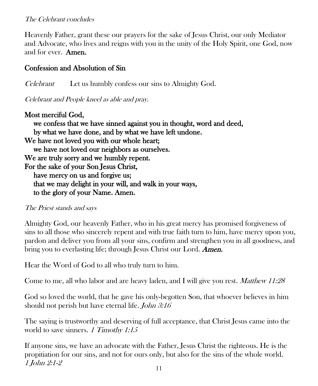#### The Celebrant concludes

Heavenly Father, grant these our prayers for the sake of Jesus Christ, our only Mediator and Advocate, who lives and reigns with you in the unity of the Holy Spirit, one God, now and for ever. Amen.

#### Confession and Absolution of Sin

Celebrant Let us humbly confess our sins to Almighty God.

Celebrant and People kneel as able and pray.

Most merciful God, we confess that we have sinned against you in thought, word and deed, by what we have done, and by what we have left undone. We have not loved you with our whole heart; we have not loved our neighbors as ourselves. We are truly sorry and we humbly repent. For the sake of your Son Jesus Christ, have mercy on us and forgive us; that we may delight in your will, and walk in your ways, to the glory of your Name. Amen.

#### The Priest stands and says

Almighty God, our heavenly Father, who in his great mercy has promised forgiveness of sins to all those who sincerely repent and with true faith turn to him, have mercy upon you, pardon and deliver you from all your sins, confirm and strengthen you in all goodness, and bring you to everlasting life; through Jesus Christ our Lord. **Amen.** 

Hear the Word of God to all who truly turn to him.

Come to me, all who labor and are heavy laden, and I will give you rest. *Matthew 11:28* 

God so loved the world, that he gave his only-begotten Son, that whoever believes in him should not perish but have eternal life. *John 3:16* 

The saying is trustworthy and deserving of full acceptance, that Christ Jesus came into the world to save sinners. 1 Timothy 1:15

If anyone sins, we have an advocate with the Father, Jesus Christ the righteous. He is the propitiation for our sins, and not for ours only, but also for the sins of the whole world. 1 John 2:1-2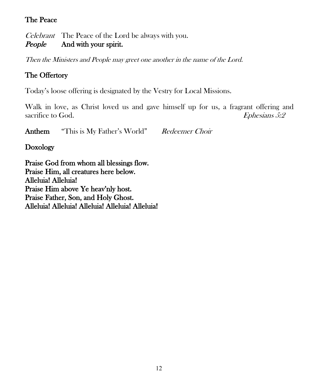# The Peace

Celebrant The Peace of the Lord be always with you. People And with your spirit.

Then the Ministers and People may greet one another in the name of the Lord.

# The Offertory

Today's loose offering is designated by the Vestry for Local Missions.

Walk in love, as Christ loved us and gave himself up for us, a fragrant offering and sacrifice to God. Ephesians 5:2

Anthem "This is My Father's World" Redeemer Choir

Doxology

Praise God from whom all blessings flow. Praise Him, all creatures here below. Alleluia! Alleluia! Praise Him above Ye heav'nly host. Praise Father, Son, and Holy Ghost. Alleluia! Alleluia! Alleluia! Alleluia! Alleluia!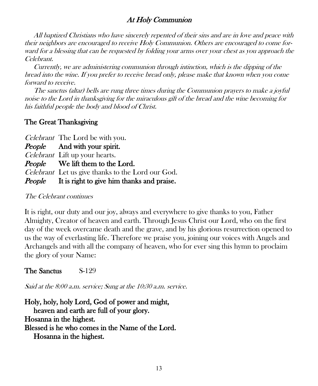# At Holy Communion

All baptized Christians who have sincerely repented of their sins and are in love and peace with their neighbors are encouraged to receive Holy Communion. Others are encouraged to come forward for a blessing that can be requested by folding your arms over your chest as you approach the Celebrant.

Currently, we are administering communion through intinction, which is the dipping of the bread into the wine. If you prefer to receive bread only, please make that known when you come forward to receive.

The sanctus (altar) bells are rung three times during the Communion prayers to make a joyful noise to the Lord in thanksgiving for the miraculous gift of the bread and the wine becoming for his faithful people the body and blood of Christ.

#### The Great Thanksgiving

Celebrant The Lord be with you. People And with your spirit. Celebrant Lift up your hearts. People We lift them to the Lord. Celebrant Let us give thanks to the Lord our God. People It is right to give him thanks and praise.

#### The Celebrant continues

It is right, our duty and our joy, always and everywhere to give thanks to you, Father Almighty, Creator of heaven and earth. Through Jesus Christ our Lord, who on the first day of the week overcame death and the grave, and by his glorious resurrection opened to us the way of everlasting life. Therefore we praise you, joining our voices with Angels and Archangels and with all the company of heaven, who for ever sing this hymn to proclaim the glory of your Name:

## The Sanctus S-129

Said at the 8:00 a.m. service; Sung at the 10:30 a.m. service.

Holy, holy, holy Lord, God of power and might, heaven and earth are full of your glory. Hosanna in the highest. Blessed is he who comes in the Name of the Lord. Hosanna in the highest.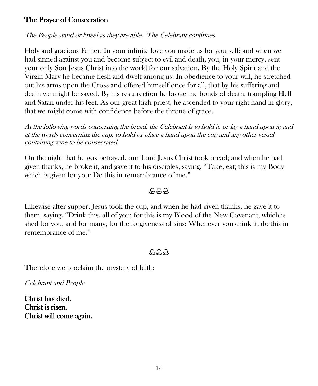#### The Prayer of Consecration

#### The People stand or kneel as they are able. The Celebrant continues

Holy and gracious Father: In your infinite love you made us for yourself; and when we had sinned against you and become subject to evil and death, you, in your mercy, sent your only Son Jesus Christ into the world for our salvation. By the Holy Spirit and the Virgin Mary he became flesh and dwelt among us. In obedience to your will, he stretched out his arms upon the Cross and offered himself once for all, that by his suffering and death we might be saved. By his resurrection he broke the bonds of death, trampling Hell and Satan under his feet. As our great high priest, he ascended to your right hand in glory, that we might come with confidence before the throne of grace.

At the following words concerning the bread, the Celebrant is to hold it, or lay a hand upon it; and at the words concerning the cup, to hold or place a hand upon the cup and any other vessel containing wine to be consecrated.

On the night that he was betrayed, our Lord Jesus Christ took bread; and when he had given thanks, he broke it, and gave it to his disciples, saying, "Take, eat; this is my Body which is given for you: Do this in remembrance of me."

#### AAA

Likewise after supper, Jesus took the cup, and when he had given thanks, he gave it to them, saying, "Drink this, all of you; for this is my Blood of the New Covenant, which is shed for you, and for many, for the forgiveness of sins: Whenever you drink it, do this in remembrance of me."

## AAA

Therefore we proclaim the mystery of faith:

Celebrant and People

Christ has died. Christ is risen. Christ will come again.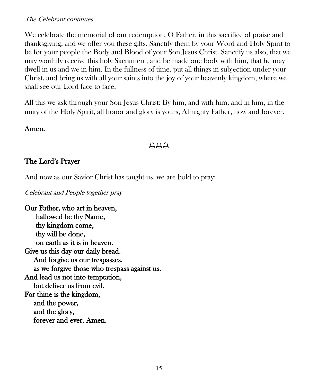#### The Celebrant continues

We celebrate the memorial of our redemption, O Father, in this sacrifice of praise and thanksgiving, and we offer you these gifts. Sanctify them by your Word and Holy Spirit to be for your people the Body and Blood of your Son Jesus Christ. Sanctify us also, that we may worthily receive this holy Sacrament, and be made one body with him, that he may dwell in us and we in him. In the fullness of time, put all things in subjection under your Christ, and bring us with all your saints into the joy of your heavenly kingdom, where we shall see our Lord face to face.

All this we ask through your Son Jesus Christ: By him, and with him, and in him, in the unity of the Holy Spirit, all honor and glory is yours, Almighty Father, now and forever.

#### Amen.

#### AAA

## The Lord's Prayer

And now as our Savior Christ has taught us, we are bold to pray:

Celebrant and People together pray

Our Father, who art in heaven, hallowed be thy Name, thy kingdom come, thy will be done, on earth as it is in heaven. Give us this day our daily bread. And forgive us our trespasses, as we forgive those who trespass against us. And lead us not into temptation, but deliver us from evil. For thine is the kingdom, and the power, and the glory, forever and ever. Amen.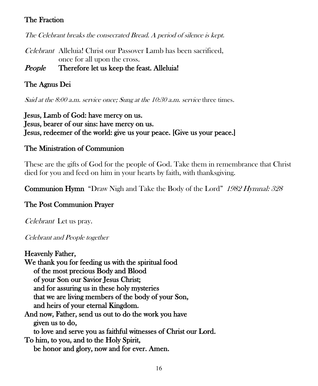# The Fraction

The Celebrant breaks the consecrated Bread. A period of silence is kept.

Celebrant Alleluia! Christ our Passover Lamb has been sacrificed, once for all upon the cross.

People Therefore let us keep the feast. Alleluia!

# The Agnus Dei

Said at the 8:00 a.m. service once: Sung at the 10:30 a.m. service three times.

Jesus, Lamb of God: have mercy on us. Jesus, bearer of our sins: have mercy on us. Jesus, redeemer of the world: give us your peace. [Give us your peace.]

## The Ministration of Communion

These are the gifts of God for the people of God. Take them in remembrance that Christ died for you and feed on him in your hearts by faith, with thanksgiving.

Communion Hymn "Draw Nigh and Take the Body of the Lord" 1982 Hymnal: 328

## The Post Communion Prayer

Celebrant Let us pray.

Celebrant and People together

Heavenly Father, We thank you for feeding us with the spiritual food of the most precious Body and Blood of your Son our Savior Jesus Christ; and for assuring us in these holy mysteries that we are living members of the body of your Son, and heirs of your eternal Kingdom. And now, Father, send us out to do the work you have given us to do, to love and serve you as faithful witnesses of Christ our Lord. To him, to you, and to the Holy Spirit, be honor and glory, now and for ever. Amen.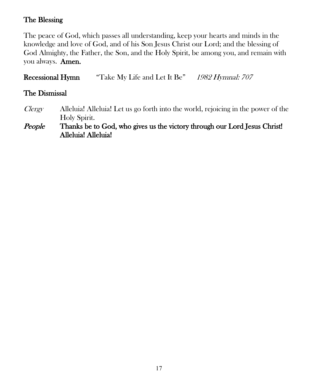# The Blessing

The peace of God, which passes all understanding, keep your hearts and minds in the knowledge and love of God, and of his Son Jesus Christ our Lord; and the blessing of God Almighty, the Father, the Son, and the Holy Spirit, be among you, and remain with you always. Amen.

Recessional Hymn "Take My Life and Let It Be" 1982 Hymnal: 707

#### The Dismissal

- Clergy Alleluia! Alleluia! Let us go forth into the world, rejoicing in the power of the Holy Spirit.
- People Thanks be to God, who gives us the victory through our Lord Jesus Christ! Alleluia! Alleluia!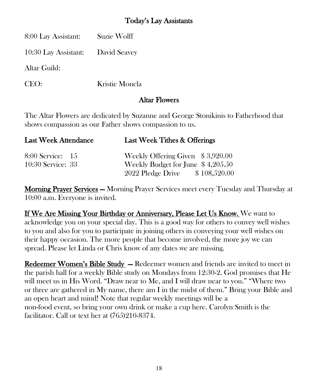#### Today's Lay Assistants

| CEO:                 | Kristie Moncla     |
|----------------------|--------------------|
| Altar Guild:         |                    |
| 10:30 Lay Assistant: | David Seavey       |
| 8:00 Lay Assistant:  | <b>Suzie Wolff</b> |

#### Altar Flowers

The Altar Flowers are dedicated by Suzanne and George Stonikinis to Fatherhood that shows compassion as our Father shows compassion to us.

| <b>Last Week Attendance</b>             | Last Week Tithes & Offerings                                          |
|-----------------------------------------|-----------------------------------------------------------------------|
| $8:00$ Service: 15<br>10:30 Service: 33 | Weekly Offering Given \$3,920.00<br>Weekly Budget for June \$4,205.50 |
|                                         | \$108,520.00<br>2022 Pledge Drive                                     |

Morning Prayer Services — Morning Prayer Services meet every Tuesday and Thursday at 10:00 a.m. Everyone is invited.

If We Are Missing Your Birthday or Anniversary, Please Let Us Know. We want to acknowledge you on your special day. This is a good way for others to convey well wishes to you and also for you to participate in joining others in conveying your well wishes on their happy occasion. The more people that become involved, the more joy we can spread. Please let Linda or Chris know of any dates we are missing.

Redeemer Women's Bible Study — Redeemer women and friends are invited to meet in the parish hall for a weekly Bible study on Mondays from 12:30-2. God promises that He will meet us in His Word. "Draw near to Me, and I will draw near to you." "Where two or three are gathered in My name, there am I in the midst of them." Bring your Bible and an open heart and mind! Note that regular weekly meetings will be a non-food event, so bring your own drink or make a cup here. Carolyn Smith is the facilitator. Call or text her at (765)210-8374.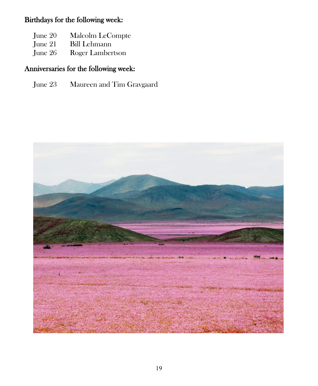# Birthdays for the following week:

- June 20 Malcolm LeCompte
- June 21 Bill Lehmann<br>June 26 Roger Lamber
- Roger Lambertson

## Anniversaries for the following week:

June 23 Maureen and Tim Gravgaard